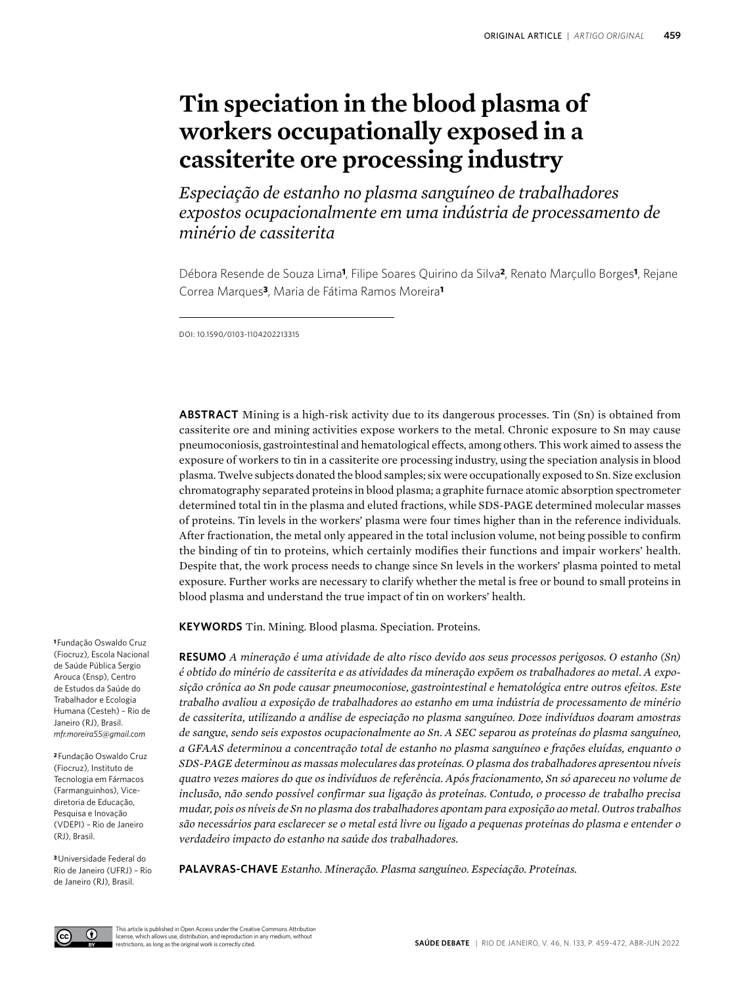# **Tin speciation in the blood plasma of workers occupationally exposed in a cassiterite ore processing industry**

*Especiação de estanho no plasma sanguíneo de trabalhadores expostos ocupacionalmente em uma indústria de processamento de minério de cassiterita*

Débora Resende de Souza Lima**1**, Filipe Soares Quirino da Silva**2**, Renato Marçullo Borges**1**, Rejane Correa Marques**3**, Maria de Fátima Ramos Moreira**<sup>1</sup>**

DOI: 10.1590/0103-1104202213315

**ABSTRACT** Mining is a high-risk activity due to its dangerous processes. Tin (Sn) is obtained from cassiterite ore and mining activities expose workers to the metal. Chronic exposure to Sn may cause pneumoconiosis, gastrointestinal and hematological effects, among others. This work aimed to assess the exposure of workers to tin in a cassiterite ore processing industry, using the speciation analysis in blood plasma. Twelve subjects donated the blood samples; six were occupationally exposed to Sn. Size exclusion chromatography separated proteins in blood plasma; a graphite furnace atomic absorption spectrometer determined total tin in the plasma and eluted fractions, while SDS-PAGE determined molecular masses of proteins. Tin levels in the workers' plasma were four times higher than in the reference individuals. After fractionation, the metal only appeared in the total inclusion volume, not being possible to confirm the binding of tin to proteins, which certainly modifies their functions and impair workers' health. Despite that, the work process needs to change since Sn levels in the workers' plasma pointed to metal exposure. Further works are necessary to clarify whether the metal is free or bound to small proteins in blood plasma and understand the true impact of tin on workers' health.

**KEYWORDS** Tin. Mining. Blood plasma. Speciation. Proteins.

**RESUMO** *A mineração é uma atividade de alto risco devido aos seus processos perigosos. O estanho (Sn) é obtido do minério de cassiterita e as atividades da mineração expõem os trabalhadores ao metal. A exposição crônica ao Sn pode causar pneumoconiose, gastrointestinal e hematológica entre outros efeitos. Este trabalho avaliou a exposição de trabalhadores ao estanho em uma indústria de processamento de minério de cassiterita, utilizando a análise de especiação no plasma sanguíneo. Doze indivíduos doaram amostras de sangue, sendo seis expostos ocupacionalmente ao Sn. A SEC separou as proteínas do plasma sanguíneo, a GFAAS determinou a concentração total de estanho no plasma sanguíneo e frações eluídas, enquanto o SDS-PAGE determinou as massas moleculares das proteínas. O plasma dos trabalhadores apresentou níveis quatro vezes maiores do que os indivíduos de referência. Após fracionamento, Sn só apareceu no volume de inclusão, não sendo possível confirmar sua ligação às proteínas. Contudo, o processo de trabalho precisa mudar, pois os níveis de Sn no plasma dos trabalhadores apontam para exposição ao metal. Outros trabalhos são necessários para esclarecer se o metal está livre ou ligado a pequenas proteínas do plasma e entender o verdadeiro impacto do estanho na saúde dos trabalhadores.*

**PALAVRAS-CHAVE** *Estanho. Mineração. Plasma sanguíneo. Especiação. Proteínas.*

**<sup>1</sup>**Fundação Oswaldo Cruz (Fiocruz), Escola Nacional de Saúde Pública Sergio Arouca (Ensp), Centro de Estudos da Saúde do Trabalhador e Ecologia Humana (Cesteh) – Rio de Janeiro (RJ), Brasil. *[mfr.moreira55@gmail.com](mailto:mfr.moreira55@gmail.com)*

**<sup>2</sup>**Fundação Oswaldo Cruz (Fiocruz), Instituto de Tecnologia em Fármacos (Farmanguinhos), Vicediretoria de Educação, Pesquisa e Inovação (VDEPI) – Rio de Janeiro (RJ), Brasil.

**<sup>3</sup>**Universidade Federal do Rio de Janeiro (UFRJ) – Rio de Janeiro (RJ), Brasil.

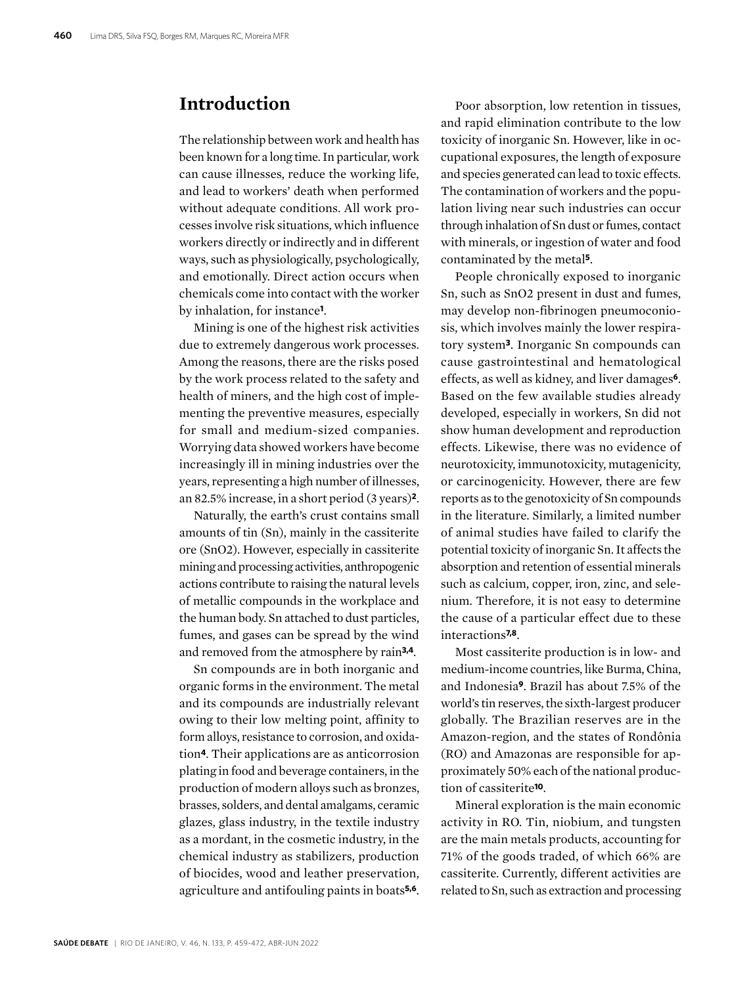# **Introduction**

The relationship between work and health has been known for a long time. In particular, work can cause illnesses, reduce the working life, and lead to workers' death when performed without adequate conditions. All work processes involve risk situations, which influence workers directly or indirectly and in different ways, such as physiologically, psychologically, and emotionally. Direct action occurs when chemicals come into contact with the worker by inhalation, for instance**1**.

Mining is one of the highest risk activities due to extremely dangerous work processes. Among the reasons, there are the risks posed by the work process related to the safety and health of miners, and the high cost of implementing the preventive measures, especially for small and medium-sized companies. Worrying data showed workers have become increasingly ill in mining industries over the years, representing a high number of illnesses, an 82.5% increase, in a short period (3 years)**2**.

Naturally, the earth's crust contains small amounts of tin (Sn), mainly in the cassiterite ore (SnO2). However, especially in cassiterite mining and processing activities, anthropogenic actions contribute to raising the natural levels of metallic compounds in the workplace and the human body. Sn attached to dust particles, fumes, and gases can be spread by the wind and removed from the atmosphere by rain**3,4**.

Sn compounds are in both inorganic and organic forms in the environment. The metal and its compounds are industrially relevant owing to their low melting point, affinity to form alloys, resistance to corrosion, and oxidation**4**. Their applications are as anticorrosion plating in food and beverage containers, in the production of modern alloys such as bronzes, brasses, solders, and dental amalgams, ceramic glazes, glass industry, in the textile industry as a mordant, in the cosmetic industry, in the chemical industry as stabilizers, production of biocides, wood and leather preservation, agriculture and antifouling paints in boats**5,6**.

Poor absorption, low retention in tissues, and rapid elimination contribute to the low toxicity of inorganic Sn. However, like in occupational exposures, the length of exposure and species generated can lead to toxic effects. The contamination of workers and the population living near such industries can occur through inhalation of Sn dust or fumes, contact with minerals, or ingestion of water and food contaminated by the metal**5**.

People chronically exposed to inorganic Sn, such as SnO2 present in dust and fumes, may develop non-fibrinogen pneumoconiosis, which involves mainly the lower respiratory system**3**. Inorganic Sn compounds can cause gastrointestinal and hematological effects, as well as kidney, and liver damages**6**. Based on the few available studies already developed, especially in workers, Sn did not show human development and reproduction effects. Likewise, there was no evidence of neurotoxicity, immunotoxicity, mutagenicity, or carcinogenicity. However, there are few reports as to the genotoxicity of Sn compounds in the literature. Similarly, a limited number of animal studies have failed to clarify the potential toxicity of inorganic Sn. It affects the absorption and retention of essential minerals such as calcium, copper, iron, zinc, and selenium. Therefore, it is not easy to determine the cause of a particular effect due to these interactions**7,8**.

Most cassiterite production is in low- and medium-income countries, like Burma, China, and Indonesia**9**. Brazil has about 7.5% of the world's tin reserves, the sixth-largest producer globally. The Brazilian reserves are in the Amazon-region, and the states of Rondônia (RO) and Amazonas are responsible for approximately 50% each of the national production of cassiterite**10**.

Mineral exploration is the main economic activity in RO. Tin, niobium, and tungsten are the main metals products, accounting for 71% of the goods traded, of which 66% are cassiterite. Currently, different activities are related to Sn, such as extraction and processing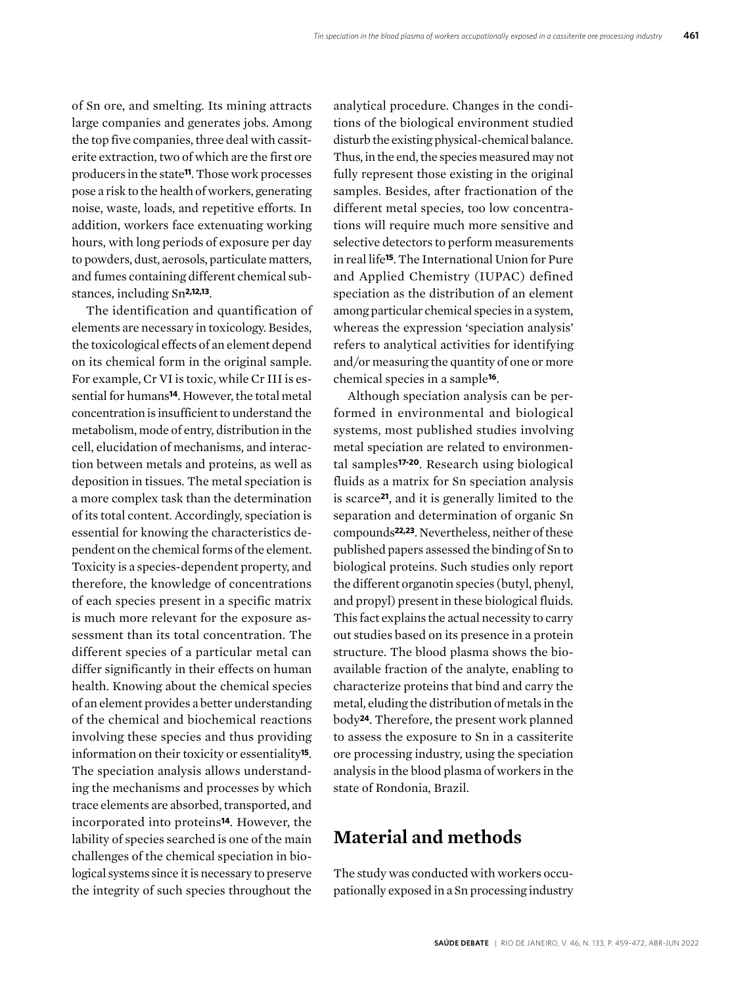of Sn ore, and smelting. Its mining attracts large companies and generates jobs. Among the top five companies, three deal with cassiterite extraction, two of which are the first ore producers in the state**11**. Those work processes pose a risk to the health of workers, generating noise, waste, loads, and repetitive efforts. In addition, workers face extenuating working hours, with long periods of exposure per day to powders, dust, aerosols, particulate matters, and fumes containing different chemical substances, including Sn**2,12,13**.

The identification and quantification of elements are necessary in toxicology. Besides, the toxicological effects of an element depend on its chemical form in the original sample. For example, Cr VI is toxic, while Cr III is essential for humans**14**. However, the total metal concentration is insufficient to understand the metabolism, mode of entry, distribution in the cell, elucidation of mechanisms, and interaction between metals and proteins, as well as deposition in tissues. The metal speciation is a more complex task than the determination of its total content. Accordingly, speciation is essential for knowing the characteristics dependent on the chemical forms of the element. Toxicity is a species-dependent property, and therefore, the knowledge of concentrations of each species present in a specific matrix is much more relevant for the exposure assessment than its total concentration. The different species of a particular metal can differ significantly in their effects on human health. Knowing about the chemical species of an element provides a better understanding of the chemical and biochemical reactions involving these species and thus providing information on their toxicity or essentiality**15**. The speciation analysis allows understanding the mechanisms and processes by which trace elements are absorbed, transported, and incorporated into proteins**14**. However, the lability of species searched is one of the main challenges of the chemical speciation in biological systems since it is necessary to preserve the integrity of such species throughout the

analytical procedure. Changes in the conditions of the biological environment studied disturb the existing physical-chemical balance. Thus, in the end, the species measured may not fully represent those existing in the original samples. Besides, after fractionation of the different metal species, too low concentrations will require much more sensitive and selective detectors to perform measurements in real life**15**. The International Union for Pure and Applied Chemistry (IUPAC) defined speciation as the distribution of an element among particular chemical species in a system, whereas the expression 'speciation analysis' refers to analytical activities for identifying and/or measuring the quantity of one or more chemical species in a sample**16**.

Although speciation analysis can be performed in environmental and biological systems, most published studies involving metal speciation are related to environmental samples**17-20**. Research using biological fluids as a matrix for Sn speciation analysis is scarce**21**, and it is generally limited to the separation and determination of organic Sn compounds**22,23**. Nevertheless, neither of these published papers assessed the binding of Sn to biological proteins. Such studies only report the different organotin species (butyl, phenyl, and propyl) present in these biological fluids. This fact explains the actual necessity to carry out studies based on its presence in a protein structure. The blood plasma shows the bioavailable fraction of the analyte, enabling to characterize proteins that bind and carry the metal, eluding the distribution of metals in the body**24**. Therefore, the present work planned to assess the exposure to Sn in a cassiterite ore processing industry, using the speciation analysis in the blood plasma of workers in the state of Rondonia, Brazil.

# **Material and methods**

The study was conducted with workers occupationally exposed in a Sn processing industry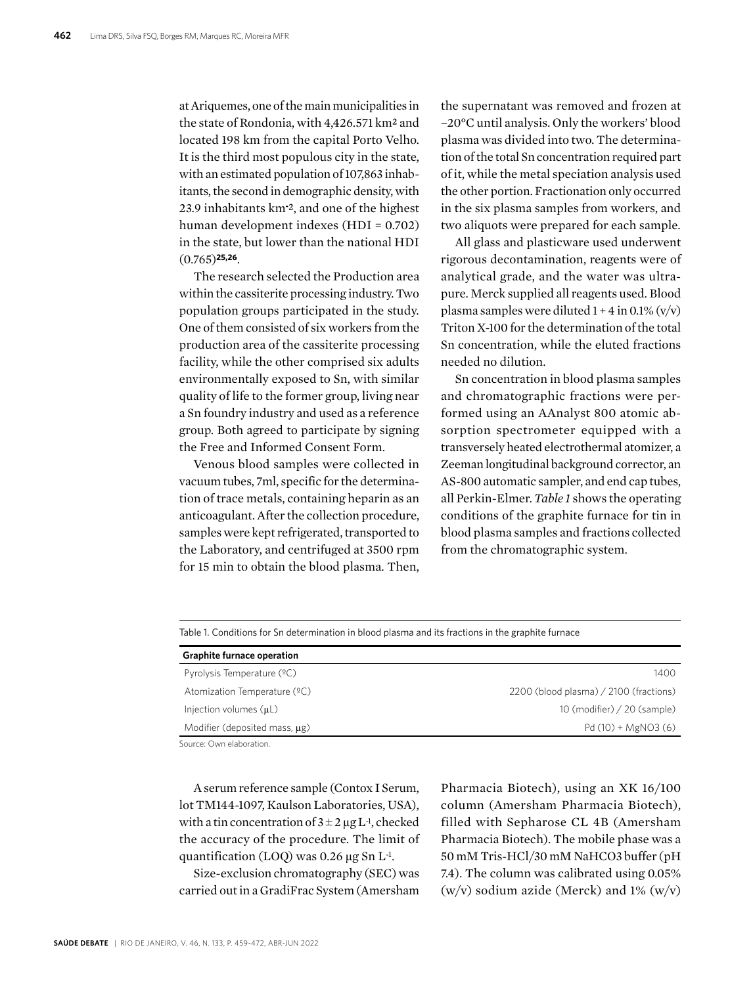at Ariquemes, one of the main municipalities in the state of Rondonia, with 4,426.571 km² and located 198 km from the capital Porto Velho. It is the third most populous city in the state, with an estimated population of 107,863 inhabitants, the second in demographic density, with 23.9 inhabitants km**-** ², and one of the highest human development indexes (HDI = 0.702) in the state, but lower than the national HDI (0.765)**25,26**.

The research selected the Production area within the cassiterite processing industry. Two population groups participated in the study. One of them consisted of six workers from the production area of the cassiterite processing facility, while the other comprised six adults environmentally exposed to Sn, with similar quality of life to the former group, living near a Sn foundry industry and used as a reference group. Both agreed to participate by signing the Free and Informed Consent Form.

Venous blood samples were collected in vacuum tubes, 7ml, specific for the determination of trace metals, containing heparin as an anticoagulant. After the collection procedure, samples were kept refrigerated, transported to the Laboratory, and centrifuged at 3500 rpm for 15 min to obtain the blood plasma. Then,

the supernatant was removed and frozen at –20°C until analysis. Only the workers' blood plasma was divided into two. The determination of the total Sn concentration required part of it, while the metal speciation analysis used the other portion. Fractionation only occurred in the six plasma samples from workers, and two aliquots were prepared for each sample.

All glass and plasticware used underwent rigorous decontamination, reagents were of analytical grade, and the water was ultrapure. Merck supplied all reagents used. Blood plasma samples were diluted  $1 + 4$  in 0.1%  $(v/v)$ Triton X-100 for the determination of the total Sn concentration, while the eluted fractions needed no dilution.

Sn concentration in blood plasma samples and chromatographic fractions were performed using an AAnalyst 800 atomic absorption spectrometer equipped with a transversely heated electrothermal atomizer, a Zeeman longitudinal background corrector, an AS-800 automatic sampler, and end cap tubes, all Perkin-Elmer. *Table 1* shows the operating conditions of the graphite furnace for tin in blood plasma samples and fractions collected from the chromatographic system.

| <b>Graphite furnace operation</b>  |                                        |  |
|------------------------------------|----------------------------------------|--|
| Pyrolysis Temperature (°C)         | 1400                                   |  |
| Atomization Temperature (°C)       | 2200 (blood plasma) / 2100 (fractions) |  |
| Injection volumes $(\mu L)$        | 10 (modifier) $/$ 20 (sample)          |  |
| Modifier (deposited mass, $\mu$ g) | $Pd(10) + MgNO3(6)$                    |  |

Source: Own elaboration.

A serum reference sample (Contox I Serum, lot TM144-1097, Kaulson Laboratories, USA), with a tin concentration of  $3 \pm 2 \mu$ g L<sup>-1</sup>, checked the accuracy of the procedure. The limit of quantification (LOQ) was 0.26 μg Sn L-1.

Size-exclusion chromatography (SEC) was carried out in a GradiFrac System (Amersham Pharmacia Biotech), using an XK 16/100 column (Amersham Pharmacia Biotech), filled with Sepharose CL 4B (Amersham Pharmacia Biotech). The mobile phase was a 50 mM Tris-HCl/30 mM NaHCO3 buffer (pH 7.4). The column was calibrated using 0.05%  $(w/v)$  sodium azide (Merck) and 1%  $(w/v)$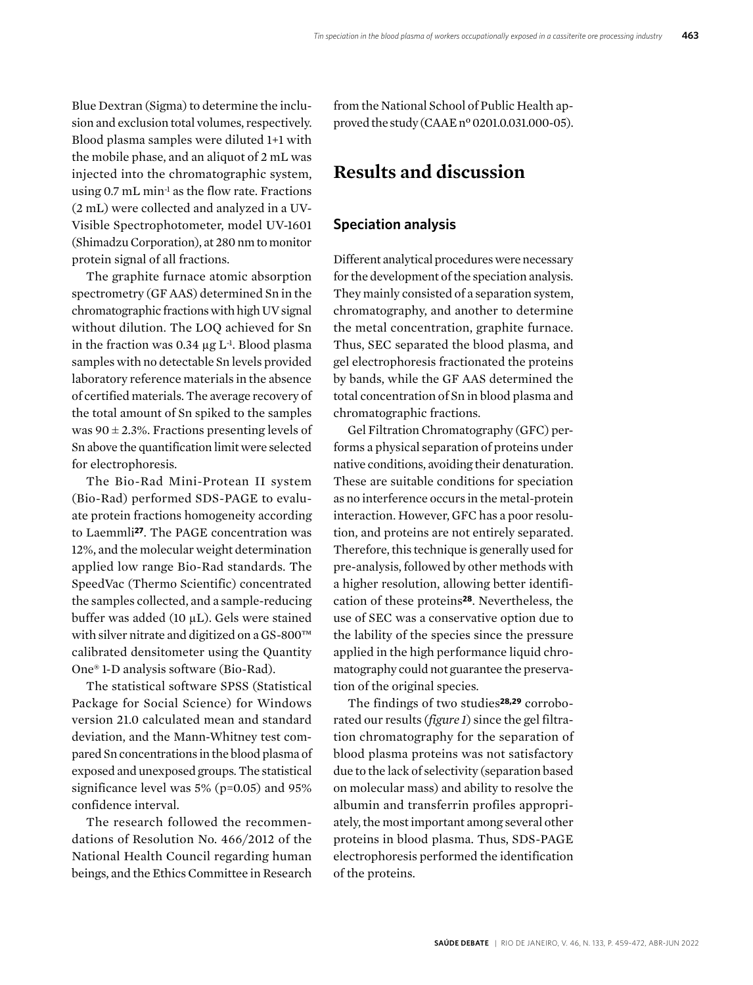Blue Dextran (Sigma) to determine the inclusion and exclusion total volumes, respectively. Blood plasma samples were diluted 1+1 with the mobile phase, and an aliquot of 2 mL was injected into the chromatographic system, using 0.7 mL min-1 as the flow rate. Fractions (2 mL) were collected and analyzed in a UV-Visible Spectrophotometer, model UV-1601 (Shimadzu Corporation), at 280 nm to monitor protein signal of all fractions.

The graphite furnace atomic absorption spectrometry (GF AAS) determined Sn in the chromatographic fractions with high UV signal without dilution. The LOQ achieved for Sn in the fraction was  $0.34 \mu g L$ <sup>-1</sup>. Blood plasma samples with no detectable Sn levels provided laboratory reference materials in the absence of certified materials. The average recovery of the total amount of Sn spiked to the samples was  $90 \pm 2.3$ %. Fractions presenting levels of Sn above the quantification limit were selected for electrophoresis.

The Bio-Rad Mini-Protean II system (Bio-Rad) performed SDS-PAGE to evaluate protein fractions homogeneity according to Laemmli**27**. The PAGE concentration was 12%, and the molecular weight determination applied low range Bio-Rad standards. The SpeedVac (Thermo Scientific) concentrated the samples collected, and a sample-reducing buffer was added (10 µL). Gels were stained with silver nitrate and digitized on a GS-800™ calibrated densitometer using the Quantity One® 1-D analysis software (Bio-Rad).

The statistical software SPSS (Statistical Package for Social Science) for Windows version 21.0 calculated mean and standard deviation, and the Mann-Whitney test compared Sn concentrations in the blood plasma of exposed and unexposed groups. The statistical significance level was 5% (p=0.05) and 95% confidence interval.

The research followed the recommendations of Resolution No. 466/2012 of the National Health Council regarding human beings, and the Ethics Committee in Research

from the National School of Public Health approved the study (CAAE nº 0201.0.031.000-05).

# **Results and discussion**

#### **Speciation analysis**

Different analytical procedures were necessary for the development of the speciation analysis. They mainly consisted of a separation system, chromatography, and another to determine the metal concentration, graphite furnace. Thus, SEC separated the blood plasma, and gel electrophoresis fractionated the proteins by bands, while the GF AAS determined the total concentration of Sn in blood plasma and chromatographic fractions.

Gel Filtration Chromatography (GFC) performs a physical separation of proteins under native conditions, avoiding their denaturation. These are suitable conditions for speciation as no interference occurs in the metal-protein interaction. However, GFC has a poor resolution, and proteins are not entirely separated. Therefore, this technique is generally used for pre-analysis, followed by other methods with a higher resolution, allowing better identification of these proteins**28**. Nevertheless, the use of SEC was a conservative option due to the lability of the species since the pressure applied in the high performance liquid chromatography could not guarantee the preservation of the original species.

The findings of two studies**28,29** corroborated our results (*figure 1*) since the gel filtration chromatography for the separation of blood plasma proteins was not satisfactory due to the lack of selectivity (separation based on molecular mass) and ability to resolve the albumin and transferrin profiles appropriately, the most important among several other proteins in blood plasma. Thus, SDS-PAGE electrophoresis performed the identification of the proteins.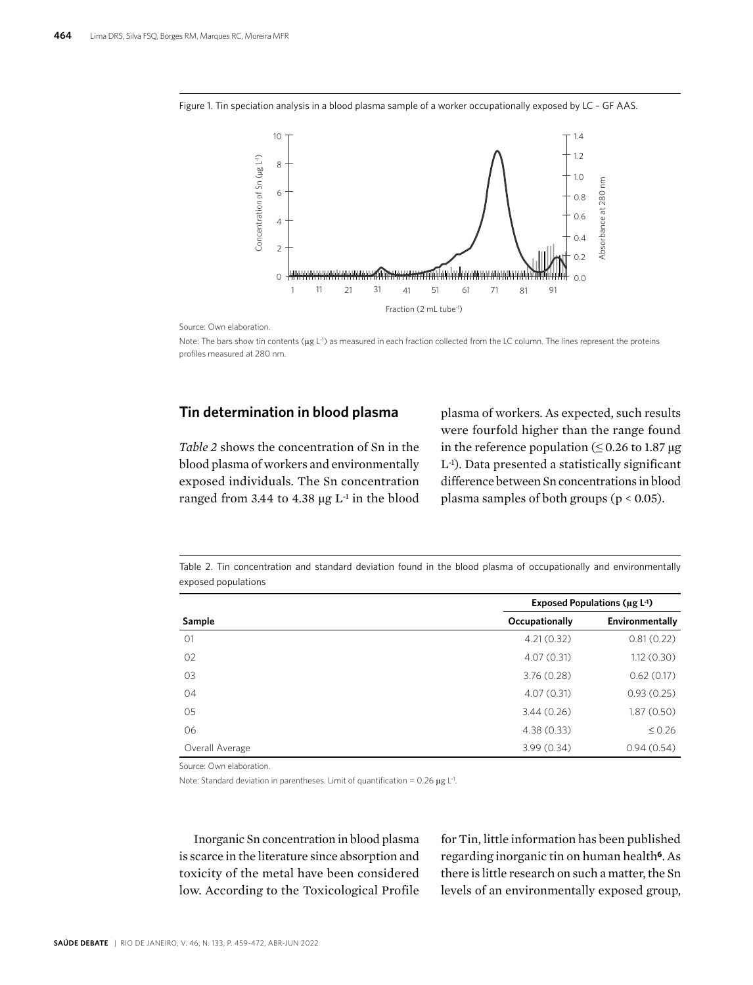Figure 1. Tin speciation analysis in a blood plasma sample of a worker occupationally exposed by LC – GF AAS.



Source: Own elaboration.

Note: The bars show tin contents (µg L<sup>-1</sup>) as measured in each fraction collected from the LC column. The lines represent the proteins profiles measured at 280 nm.

#### **Tin determination in blood plasma**

*Table 2* shows the concentration of Sn in the blood plasma of workers and environmentally exposed individuals. The Sn concentration ranged from 3.44 to 4.38  $\mu$ g L<sup>-1</sup> in the blood

plasma of workers. As expected, such results were fourfold higher than the range found in the reference population ( $\leq 0.26$  to 1.87 μg L-1). Data presented a statistically significant difference between Sn concentrations in blood plasma samples of both groups (p < 0.05).

Table 2. Tin concentration and standard deviation found in the blood plasma of occupationally and environmentally exposed populations

|                 | Exposed Populations ( $\mu$ g L <sup>-1</sup> ) |                 |
|-----------------|-------------------------------------------------|-----------------|
| Sample          | Occupationally                                  | Environmentally |
| O <sub>1</sub>  | 4.21(0.32)                                      | 0.81(0.22)      |
| 02              | 4.07(0.31)                                      | 1.12(0.30)      |
| 03              | 3.76(0.28)                                      | 0.62(0.17)      |
| 04              | 4.07(0.31)                                      | 0.93(0.25)      |
| 05              | 3.44(0.26)                                      | 1.87(0.50)      |
| 06              | 4.38(0.33)                                      | $\leq 0.26$     |
| Overall Average | 3.99(0.34)                                      | 0.94(0.54)      |

Source: Own elaboration.

Note: Standard deviation in parentheses. Limit of quantification =  $0.26 \mu g$  L<sup>-1</sup>.

Inorganic Sn concentration in blood plasma is scarce in the literature since absorption and toxicity of the metal have been considered low. According to the Toxicological Profile for Tin, little information has been published regarding inorganic tin on human health**6**. As there is little research on such a matter, the Sn levels of an environmentally exposed group,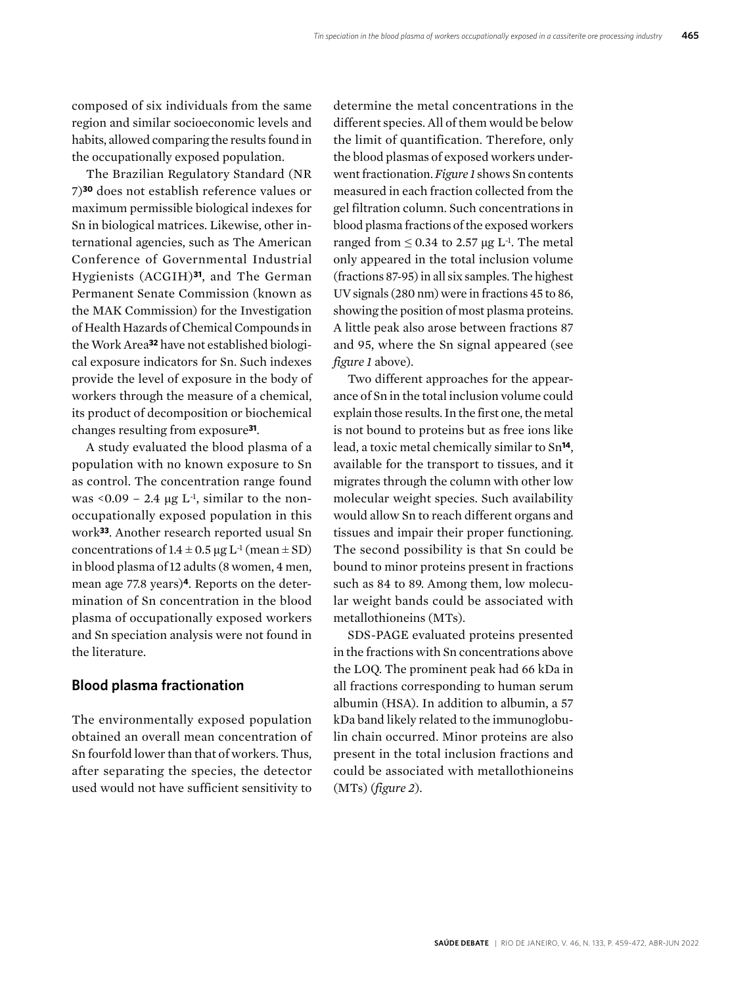composed of six individuals from the same region and similar socioeconomic levels and habits, allowed comparing the results found in the occupationally exposed population.

The Brazilian Regulatory Standard (NR 7)**30** does not establish reference values or maximum permissible biological indexes for Sn in biological matrices. Likewise, other international agencies, such as The American Conference of Governmental Industrial Hygienists (ACGIH)**31**, and The German Permanent Senate Commission (known as the MAK Commission) for the Investigation of Health Hazards of Chemical Compounds in the Work Area**32** have not established biological exposure indicators for Sn. Such indexes provide the level of exposure in the body of workers through the measure of a chemical, its product of decomposition or biochemical changes resulting from exposure**31**.

A study evaluated the blood plasma of a population with no known exposure to Sn as control. The concentration range found was  $\leq 0.09 - 2.4$  µg L<sup>-1</sup>, similar to the nonoccupationally exposed population in this work**33**. Another research reported usual Sn concentrations of  $1.4 \pm 0.5$  μg L<sup>-1</sup> (mean  $\pm$  SD) in blood plasma of 12 adults (8 women, 4 men, mean age 77.8 years)**4**. Reports on the determination of Sn concentration in the blood plasma of occupationally exposed workers and Sn speciation analysis were not found in the literature.

#### **Blood plasma fractionation**

The environmentally exposed population obtained an overall mean concentration of Sn fourfold lower than that of workers. Thus, after separating the species, the detector used would not have sufficient sensitivity to

determine the metal concentrations in the different species. All of them would be below the limit of quantification. Therefore, only the blood plasmas of exposed workers underwent fractionation. *Figure 1* shows Sn contents measured in each fraction collected from the gel filtration column. Such concentrations in blood plasma fractions of the exposed workers ranged from  $\leq 0.34$  to 2.57 μg L<sup>-1</sup>. The metal only appeared in the total inclusion volume (fractions 87-95) in all six samples. The highest UV signals (280 nm) were in fractions 45 to 86, showing the position of most plasma proteins. A little peak also arose between fractions 87 and 95, where the Sn signal appeared (see *figure 1* above).

Two different approaches for the appearance of Sn in the total inclusion volume could explain those results. In the first one, the metal is not bound to proteins but as free ions like lead, a toxic metal chemically similar to Sn**14**, available for the transport to tissues, and it migrates through the column with other low molecular weight species. Such availability would allow Sn to reach different organs and tissues and impair their proper functioning. The second possibility is that Sn could be bound to minor proteins present in fractions such as 84 to 89. Among them, low molecular weight bands could be associated with metallothioneins (MTs).

SDS-PAGE evaluated proteins presented in the fractions with Sn concentrations above the LOQ. The prominent peak had 66 kDa in all fractions corresponding to human serum albumin (HSA). In addition to albumin, a 57 kDa band likely related to the immunoglobulin chain occurred. Minor proteins are also present in the total inclusion fractions and could be associated with metallothioneins (MTs) (*figure 2*).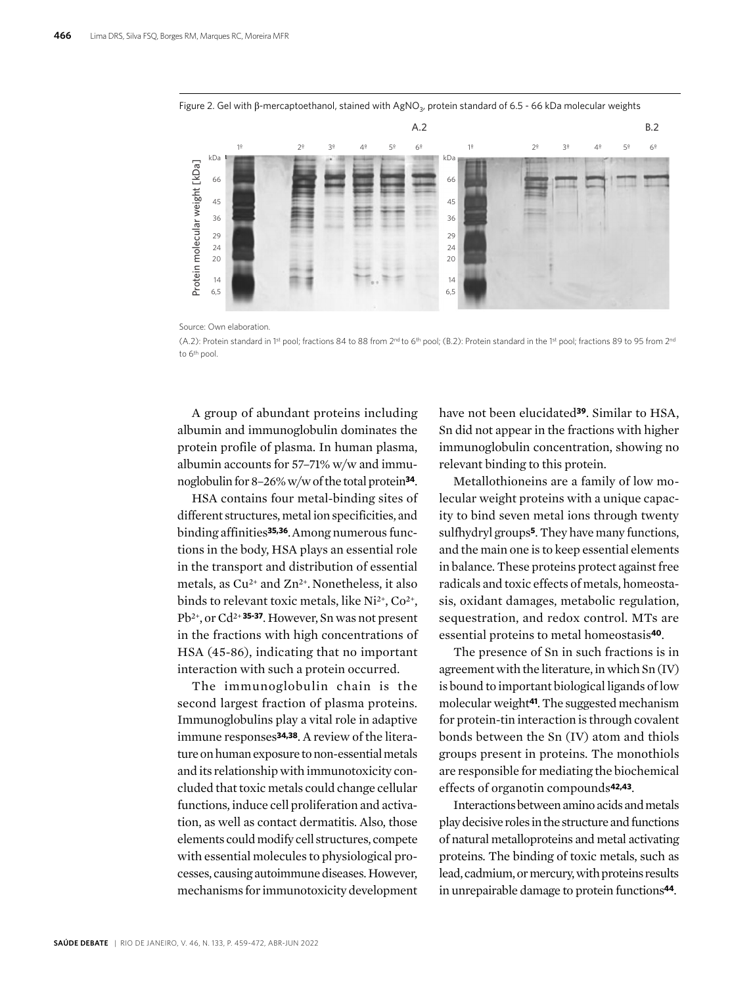



Source: Own elaboration.

(A.2): Protein standard in 1st pool; fractions 84 to 88 from 2nd to 6th pool; (B.2): Protein standard in the 1st pool; fractions 89 to 95 from 2nd to 6th pool.

A group of abundant proteins including albumin and immunoglobulin dominates the protein profile of plasma. In human plasma, albumin accounts for 57–71% w/w and immunoglobulin for 8–26% w/w of the total protein**34**.

HSA contains four metal-binding sites of different structures, metal ion specificities, and binding affinities**35,36**.Among numerous functions in the body, HSA plays an essential role in the transport and distribution of essential metals, as Cu<sup>2+</sup> and Zn<sup>2+</sup>. Nonetheless, it also binds to relevant toxic metals, like Ni<sup>2+</sup>, Co<sup>2+</sup>, Pb2+, or Cd2+ **35-37**. However, Sn was not present in the fractions with high concentrations of HSA (45-86), indicating that no important interaction with such a protein occurred.

The immunoglobulin chain is the second largest fraction of plasma proteins. Immunoglobulins play a vital role in adaptive immune responses**34,38**. A review of the literature on human exposure to non-essential metals and its relationship with immunotoxicity concluded that toxic metals could change cellular functions, induce cell proliferation and activation, as well as contact dermatitis. Also, those elements could modify cell structures, compete with essential molecules to physiological processes, causing autoimmune diseases. However, mechanisms for immunotoxicity development have not been elucidated**39**. Similar to HSA, Sn did not appear in the fractions with higher immunoglobulin concentration, showing no relevant binding to this protein.

Metallothioneins are a family of low molecular weight proteins with a unique capacity to bind seven metal ions through twenty sulfhydryl groups**5**. They have many functions, and the main one is to keep essential elements in balance. These proteins protect against free radicals and toxic effects of metals, homeostasis, oxidant damages, metabolic regulation, sequestration, and redox control. MTs are essential proteins to metal homeostasis**40**.

The presence of Sn in such fractions is in agreement with the literature, in which Sn (IV) is bound to important biological ligands of low molecular weight**41**. The suggested mechanism for protein-tin interaction is through covalent bonds between the Sn (IV) atom and thiols groups present in proteins. The monothiols are responsible for mediating the biochemical effects of organotin compounds**42,43**.

Interactions between amino acids and metals play decisive roles in the structure and functions of natural metalloproteins and metal activating proteins. The binding of toxic metals, such as lead, cadmium, or mercury, with proteins results in unrepairable damage to protein functions**44**.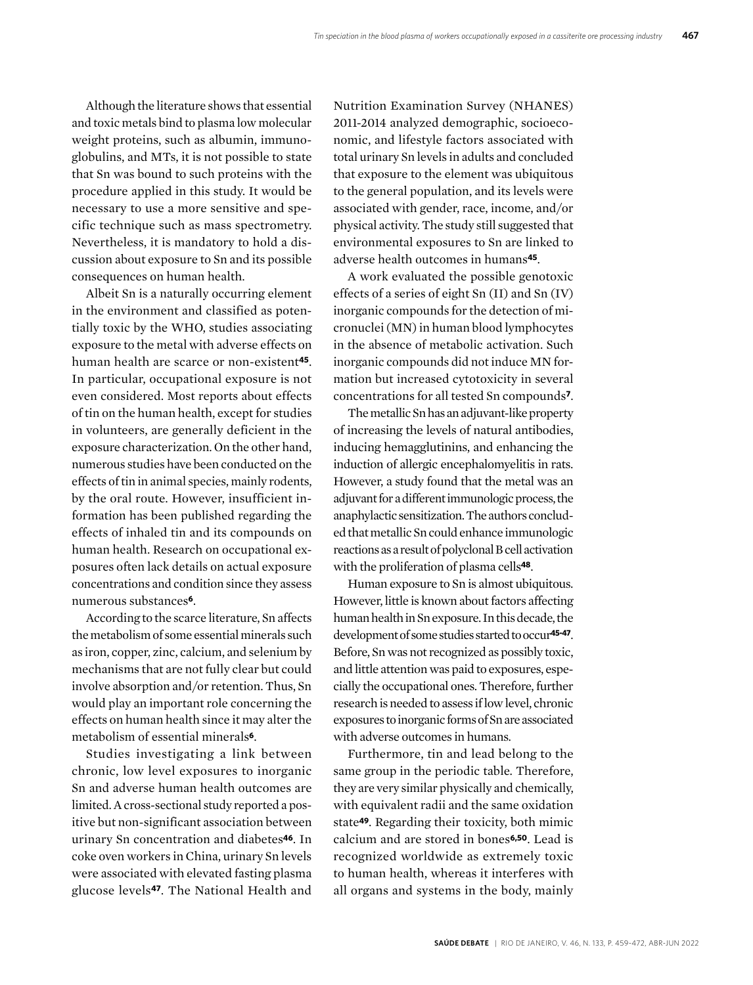Although the literature shows that essential and toxic metals bind to plasma low molecular weight proteins, such as albumin, immunoglobulins, and MTs, it is not possible to state that Sn was bound to such proteins with the procedure applied in this study. It would be necessary to use a more sensitive and specific technique such as mass spectrometry. Nevertheless, it is mandatory to hold a discussion about exposure to Sn and its possible consequences on human health.

Albeit Sn is a naturally occurring element in the environment and classified as potentially toxic by the WHO, studies associating exposure to the metal with adverse effects on human health are scarce or non-existent**45**. In particular, occupational exposure is not even considered. Most reports about effects of tin on the human health, except for studies in volunteers, are generally deficient in the exposure characterization. On the other hand, numerous studies have been conducted on the effects of tin in animal species, mainly rodents, by the oral route. However, insufficient information has been published regarding the effects of inhaled tin and its compounds on human health. Research on occupational exposures often lack details on actual exposure concentrations and condition since they assess numerous substances**6**.

According to the scarce literature, Sn affects the metabolism of some essential minerals such as iron, copper, zinc, calcium, and selenium by mechanisms that are not fully clear but could involve absorption and/or retention. Thus, Sn would play an important role concerning the effects on human health since it may alter the metabolism of essential minerals**6**.

Studies investigating a link between chronic, low level exposures to inorganic Sn and adverse human health outcomes are limited. A cross-sectional study reported a positive but non-significant association between urinary Sn concentration and diabetes**46**. In coke oven workers in China, urinary Sn levels were associated with elevated fasting plasma glucose levels**47**. The National Health and

Nutrition Examination Survey (NHANES) 2011-2014 analyzed demographic, socioeconomic, and lifestyle factors associated with total urinary Sn levels in adults and concluded that exposure to the element was ubiquitous to the general population, and its levels were associated with gender, race, income, and/or physical activity. The study still suggested that environmental exposures to Sn are linked to adverse health outcomes in humans**45**.

A work evaluated the possible genotoxic effects of a series of eight Sn (II) and Sn (IV) inorganic compounds for the detection of micronuclei (MN) in human blood lymphocytes in the absence of metabolic activation. Such inorganic compounds did not induce MN formation but increased cytotoxicity in several concentrations for all tested Sn compounds**7**.

The metallic Sn has an adjuvant-like property of increasing the levels of natural antibodies, inducing hemagglutinins, and enhancing the induction of allergic encephalomyelitis in rats. However, a study found that the metal was an adjuvant for a different immunologic process, the anaphylactic sensitization. The authors concluded that metallic Sn could enhance immunologic reactions as a result of polyclonal B cell activation with the proliferation of plasma cells**48**.

Human exposure to Sn is almost ubiquitous. However, little is known about factors affecting human health in Sn exposure. In this decade, the development of some studies started to occur**45-47**. Before, Sn was not recognized as possibly toxic, and little attention was paid to exposures, especially the occupational ones. Therefore, further research is needed to assess if low level, chronic exposures to inorganic forms of Sn are associated with adverse outcomes in humans.

Furthermore, tin and lead belong to the same group in the periodic table. Therefore, they are very similar physically and chemically, with equivalent radii and the same oxidation state**49**. Regarding their toxicity, both mimic calcium and are stored in bones**6,50**. Lead is recognized worldwide as extremely toxic to human health, whereas it interferes with all organs and systems in the body, mainly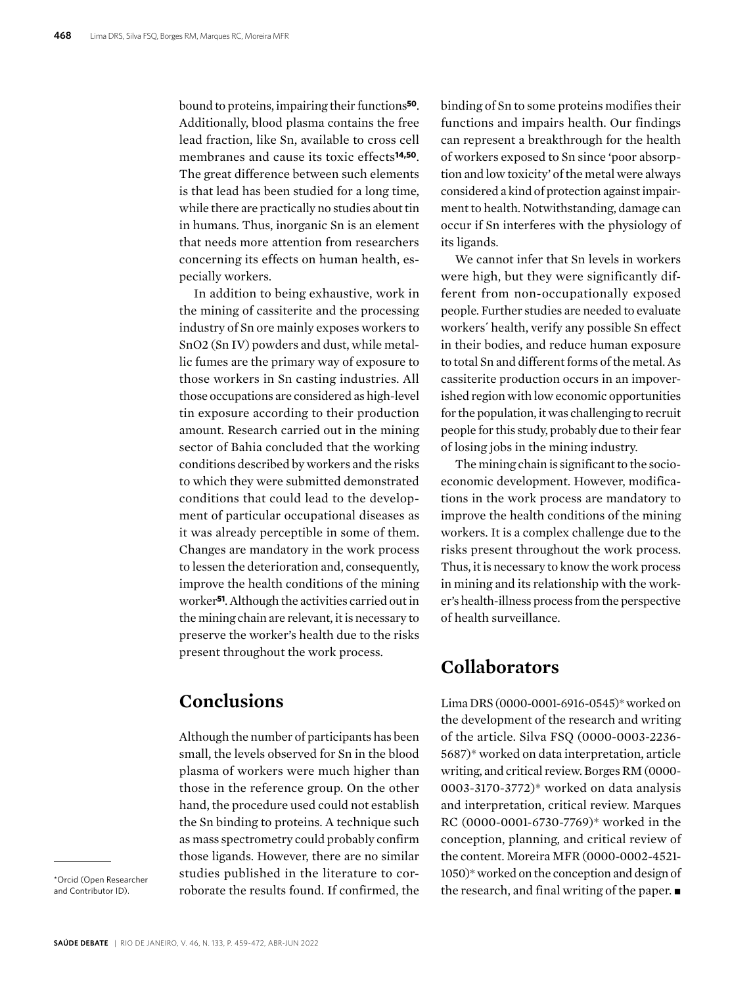bound to proteins, impairing their functions**50**. Additionally, blood plasma contains the free lead fraction, like Sn, available to cross cell membranes and cause its toxic effects**14,50**. The great difference between such elements is that lead has been studied for a long time, while there are practically no studies about tin in humans. Thus, inorganic Sn is an element that needs more attention from researchers concerning its effects on human health, especially workers.

In addition to being exhaustive, work in the mining of cassiterite and the processing industry of Sn ore mainly exposes workers to SnO2 (Sn IV) powders and dust, while metallic fumes are the primary way of exposure to those workers in Sn casting industries. All those occupations are considered as high-level tin exposure according to their production amount. Research carried out in the mining sector of Bahia concluded that the working conditions described by workers and the risks to which they were submitted demonstrated conditions that could lead to the development of particular occupational diseases as it was already perceptible in some of them. Changes are mandatory in the work process to lessen the deterioration and, consequently, improve the health conditions of the mining worker**51**. Although the activities carried out in the mining chain are relevant, it is necessary to preserve the worker's health due to the risks present throughout the work process.

# **Conclusions**

Although the number of participants has been small, the levels observed for Sn in the blood plasma of workers were much higher than those in the reference group. On the other hand, the procedure used could not establish the Sn binding to proteins. A technique such as mass spectrometry could probably confirm those ligands. However, there are no similar studies published in the literature to corroborate the results found. If confirmed, the

\*Orcid (Open Researcher and Contributor ID).

binding of Sn to some proteins modifies their functions and impairs health. Our findings can represent a breakthrough for the health of workers exposed to Sn since 'poor absorption and low toxicity' of the metal were always considered a kind of protection against impairment to health. Notwithstanding, damage can occur if Sn interferes with the physiology of its ligands.

We cannot infer that Sn levels in workers were high, but they were significantly different from non-occupationally exposed people. Further studies are needed to evaluate workers´ health, verify any possible Sn effect in their bodies, and reduce human exposure to total Sn and different forms of the metal. As cassiterite production occurs in an impoverished region with low economic opportunities for the population, it was challenging to recruit people for this study, probably due to their fear of losing jobs in the mining industry.

The mining chain is significant to the socioeconomic development. However, modifications in the work process are mandatory to improve the health conditions of the mining workers. It is a complex challenge due to the risks present throughout the work process. Thus, it is necessary to know the work process in mining and its relationship with the worker's health-illness process from the perspective of health surveillance.

# **Collaborators**

Lima DRS (0000-0001-6916-0545)\* worked on the development of the research and writing of the article. Silva FSQ (0000-0003-2236- 5687)\* worked on data interpretation, article writing, and critical review. Borges RM (0000- 0003-3170-3772)\* worked on data analysis and interpretation, critical review. Marques RC (0000-0001-6730-7769)\* worked in the conception, planning, and critical review of the content. Moreira MFR (0000-0002-4521- 1050)\* worked on the conception and design of the research, and final writing of the paper.  $\blacksquare$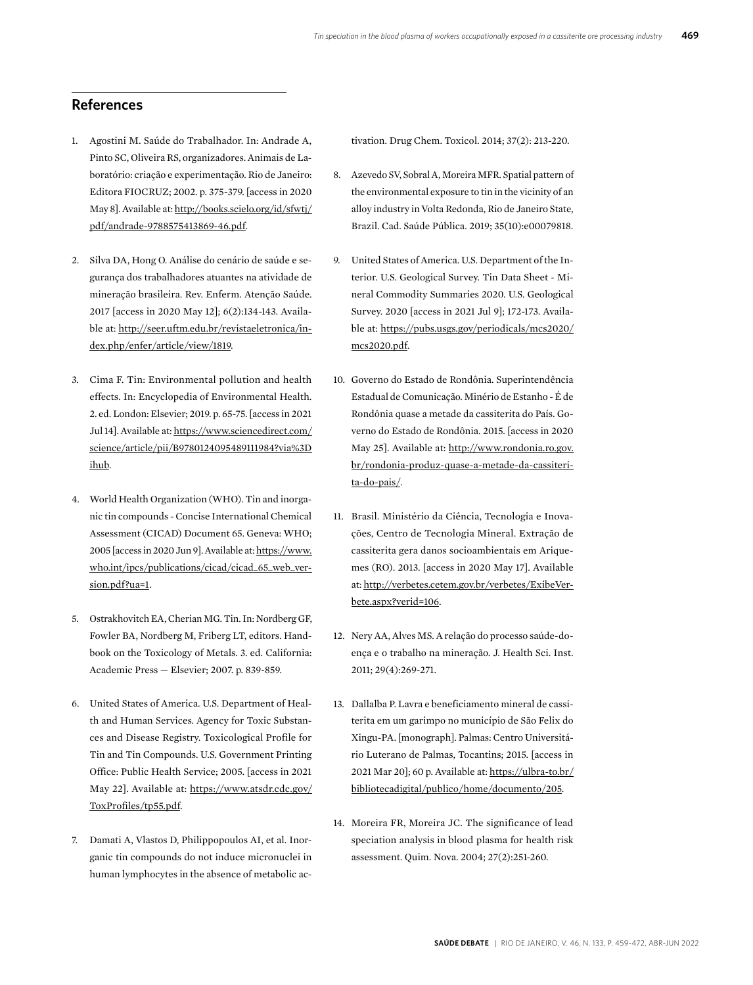#### **References**

- 1. Agostini M. Saúde do Trabalhador. In: Andrade A, Pinto SC, Oliveira RS, organizadores. Animais de Laboratório: criação e experimentação. Rio de Janeiro: Editora FIOCRUZ; 2002. p. 375-379. [access in 2020 May 8]. Available at: [http://books.scielo.org/id/sfwtj/](http://books.scielo.org/id/sfwtj/pdf/andrade-9788575413869-46.pdf) [pdf/andrade-9788575413869-46.pdf](http://books.scielo.org/id/sfwtj/pdf/andrade-9788575413869-46.pdf).
- 2. Silva DA, Hong O. Análise do cenário de saúde e segurança dos trabalhadores atuantes na atividade de mineração brasileira. Rev. Enferm. Atenção Saúde. 2017 [access in 2020 May 12]; 6(2):134-143. Available at: [http://seer.uftm.edu.br/revistaeletronica/in](http://seer.uftm.edu.br/revistaeletronica/index.php/enfer/article/view/1819)[dex.php/enfer/article/view/1819.](http://seer.uftm.edu.br/revistaeletronica/index.php/enfer/article/view/1819)
- 3. Cima F. Tin: Environmental pollution and health effects. In: Encyclopedia of Environmental Health. 2. ed. London: Elsevier; 2019. p. 65-75. [access in 2021 Jul 14]. Available at: [https://www.sciencedirect.com/](https://www.sciencedirect.com/science/article/pii/B9780124095489111984?via%3Dihub) [science/article/pii/B9780124095489111984?via%3D](https://www.sciencedirect.com/science/article/pii/B9780124095489111984?via%3Dihub) [ihub](https://www.sciencedirect.com/science/article/pii/B9780124095489111984?via%3Dihub).
- 4. World Health Organization (WHO). Tin and inorganic tin compounds - Concise International Chemical Assessment (CICAD) Document 65. Geneva: WHO; 2005 [access in 2020 Jun 9]. Available at: [https://www.](https://www.who.int/ipcs/publications/cicad/cicad_65_web_version.pdf?ua=1) [who.int/ipcs/publications/cicad/cicad\\_65\\_web\\_ver](https://www.who.int/ipcs/publications/cicad/cicad_65_web_version.pdf?ua=1)[sion.pdf?ua=1.](https://www.who.int/ipcs/publications/cicad/cicad_65_web_version.pdf?ua=1)
- 5. Ostrakhovitch EA, Cherian MG. Tin. In: Nordberg GF, Fowler BA, Nordberg M, Friberg LT, editors. Handbook on the Toxicology of Metals. 3. ed. California: Academic Press — Elsevier; 2007. p. 839-859.
- 6. United States of America. U.S. Department of Health and Human Services. Agency for Toxic Substances and Disease Registry. Toxicological Profile for Tin and Tin Compounds. U.S. Government Printing Office: Public Health Service; 2005. [access in 2021 May 22]. Available at: [https://www.atsdr.cdc.gov/](https://www.atsdr.cdc.gov/ToxProfiles/tp55.pdf) [ToxProfiles/tp55.pdf](https://www.atsdr.cdc.gov/ToxProfiles/tp55.pdf).
- 7. Damati A, Vlastos D, Philippopoulos AI, et al. Inorganic tin compounds do not induce micronuclei in human lymphocytes in the absence of metabolic ac-

tivation. Drug Chem. Toxicol. 2014; 37(2): 213-220.

- 8. Azevedo SV, Sobral A, Moreira MFR. Spatial pattern of the environmental exposure to tin in the vicinity of an alloy industry in Volta Redonda, Rio de Janeiro State, Brazil. Cad. Saúde Pública. 2019; 35(10):e00079818.
- 9. United States of America. U.S. Department of the Interior. U.S. Geological Survey. Tin Data Sheet - Mineral Commodity Summaries 2020. U.S. Geological Survey. 2020 [access in 2021 Jul 9]; 172-173. Available at: [https://pubs.usgs.gov/periodicals/mcs2020/](https://pubs.usgs.gov/periodicals/mcs2020/mcs2020.pdf) [mcs2020.pdf](https://pubs.usgs.gov/periodicals/mcs2020/mcs2020.pdf).
- 10. Governo do Estado de Rondônia. Superintendência Estadual de Comunicação. Minério de Estanho - É de Rondônia quase a metade da cassiterita do País. Governo do Estado de Rondônia. 2015. [access in 2020 May 25]. Available at: [http://www.rondonia.ro.gov.](http://www.rondonia.ro.gov.br/rondonia-produz-quase-a-metade-da-cassiterita-do-pais/) [br/rondonia-produz-quase-a-metade-da-cassiteri](http://www.rondonia.ro.gov.br/rondonia-produz-quase-a-metade-da-cassiterita-do-pais/)[ta-do-pais/.](http://www.rondonia.ro.gov.br/rondonia-produz-quase-a-metade-da-cassiterita-do-pais/)
- 11. Brasil. Ministério da Ciência, Tecnologia e Inovações, Centro de Tecnologia Mineral. Extração de cassiterita gera danos socioambientais em Ariquemes (RO). 2013. [access in 2020 May 17]. Available at: [http://verbetes.cetem.gov.br/verbetes/ExibeVer](http://verbetes.cetem.gov.br/verbetes/ExibeVerbete.aspx?verid=106)[bete.aspx?verid=106](http://verbetes.cetem.gov.br/verbetes/ExibeVerbete.aspx?verid=106).
- 12. Nery AA, Alves MS. A relação do processo saúde-doença e o trabalho na mineração. J. Health Sci. Inst. 2011; 29(4):269-271.
- 13. Dallalba P. Lavra e beneficiamento mineral de cassiterita em um garimpo no município de São Felix do Xingu-PA. [monograph]. Palmas: Centro Universitário Luterano de Palmas, Tocantins; 2015. [access in 2021 Mar 20]; 60 p. Available at: [https://ulbra-to.br/](https://ulbra-to.br/bibliotecadigital/publico/home/documento/205) [bibliotecadigital/publico/home/documento/205](https://ulbra-to.br/bibliotecadigital/publico/home/documento/205).
- 14. Moreira FR, Moreira JC. The significance of lead speciation analysis in blood plasma for health risk assessment. Quim. Nova. 2004; 27(2):251-260.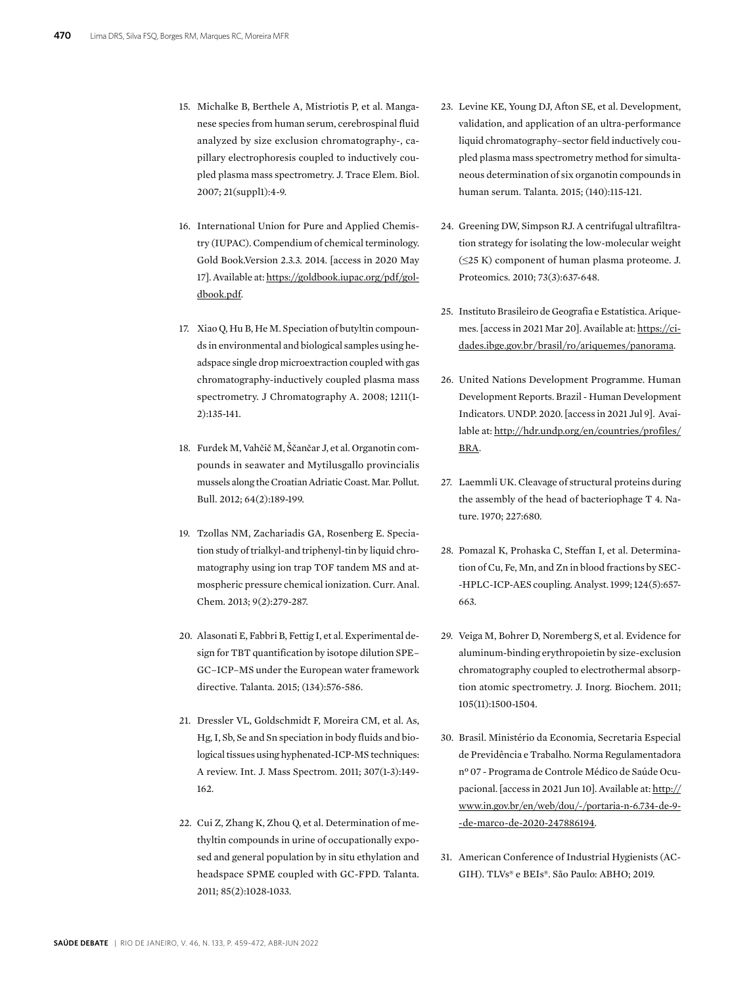- 15. Michalke B, Berthele A, Mistriotis P, et al. Manganese species from human serum, cerebrospinal fluid analyzed by size exclusion chromatography-, capillary electrophoresis coupled to inductively coupled plasma mass spectrometry. J. Trace Elem. Biol. 2007; 21(suppl1):4-9.
- 16. International Union for Pure and Applied Chemistry (IUPAC). Compendium of chemical terminology. Gold Book.Version 2.3.3. 2014. [access in 2020 May 17]. Available at: [https://goldbook.iupac.org/pdf/gol](https://goldbook.iupac.org/pdf/goldbook.pdf)[dbook.pdf.](https://goldbook.iupac.org/pdf/goldbook.pdf)
- 17. Xiao Q, Hu B, He M. Speciation of butyltin compounds in environmental and biological samples using headspace single drop microextraction coupled with gas chromatography-inductively coupled plasma mass spectrometry. J Chromatography A. 2008; 1211(1- 2):135-141.
- 18. Furdek M, Vahčič M, Ščančar J, et al. Organotin compounds in seawater and Mytilusgallo provincialis mussels along the Croatian Adriatic Coast. Mar. Pollut. Bull. 2012; 64(2):189-199.
- 19. Tzollas NM, Zachariadis GA, Rosenberg E. Speciation study of trialkyl-and triphenyl-tin by liquid chromatography using ion trap TOF tandem MS and atmospheric pressure chemical ionization. Curr. Anal. Chem. 2013; 9(2):279-287.
- 20. Alasonati E, Fabbri B, Fettig I, et al. Experimental design for TBT quantification by isotope dilution SPE– GC–ICP–MS under the European water framework directive. Talanta. 2015; (134):576-586.
- 21. Dressler VL, Goldschmidt F, Moreira CM, et al. As, Hg, I, Sb, Se and Sn speciation in body fluids and biological tissues using hyphenated-ICP-MS techniques: A review. Int. J. Mass Spectrom. 2011; 307(1-3):149- 162.
- 22. Cui Z, Zhang K, Zhou Q, et al. Determination of methyltin compounds in urine of occupationally exposed and general population by in situ ethylation and headspace SPME coupled with GC-FPD. Talanta. 2011; 85(2):1028-1033.
- 23. Levine KE, Young DJ, Afton SE, et al. Development, validation, and application of an ultra-performance liquid chromatography–sector field inductively coupled plasma mass spectrometry method for simultaneous determination of six organotin compounds in human serum. Talanta. 2015; (140):115-121.
- 24. Greening DW, Simpson RJ. A centrifugal ultrafiltration strategy for isolating the low-molecular weight (≤25 K) component of human plasma proteome. J. Proteomics. 2010; 73(3):637-648.
- 25. Instituto Brasileiro de Geografia e Estatística. Ariquemes. [access in 2021 Mar 20]. Available at: [https://ci](https://cidades.ibge.gov.br/brasil/ro/ariquemes/panorama)[dades.ibge.gov.br/brasil/ro/ariquemes/panorama.](https://cidades.ibge.gov.br/brasil/ro/ariquemes/panorama)
- 26. United Nations Development Programme. Human Development Reports. Brazil - Human Development Indicators. UNDP. 2020. [access in 2021 Jul 9]. Available at: [http://hdr.undp.org/en/countries/profiles/](http://hdr.undp.org/en/countries/profiles/BRA) [BRA.](http://hdr.undp.org/en/countries/profiles/BRA)
- 27. Laemmli UK. Cleavage of structural proteins during the assembly of the head of bacteriophage T 4. Nature. 1970; 227:680.
- 28. Pomazal K, Prohaska C, Steffan I, et al. Determination of Cu, Fe, Mn, and Zn in blood fractions by SEC- -HPLC-ICP-AES coupling. Analyst. 1999; 124(5):657- 663.
- 29. Veiga M, Bohrer D, Noremberg S, et al. Evidence for aluminum-binding erythropoietin by size-exclusion chromatography coupled to electrothermal absorption atomic spectrometry. J. Inorg. Biochem. 2011; 105(11):1500-1504.
- 30. Brasil. Ministério da Economia, Secretaria Especial de Previdência e Trabalho. Norma Regulamentadora nº 07 - Programa de Controle Médico de Saúde Ocupacional. [access in 2021 Jun 10]. Available at: [http://](http://www.in.gov.br/en/web/dou/-/portaria-n-6.734-de-9-de-marco-de-2020-247886194) [www.in.gov.br/en/web/dou/-/portaria-n-6.734-de-9-](http://www.in.gov.br/en/web/dou/-/portaria-n-6.734-de-9-de-marco-de-2020-247886194) [-de-marco-de-2020-247886194](http://www.in.gov.br/en/web/dou/-/portaria-n-6.734-de-9-de-marco-de-2020-247886194).
- 31. American Conference of Industrial Hygienists (AC-GIH). TLVs® e BEIs®. São Paulo: ABHO; 2019.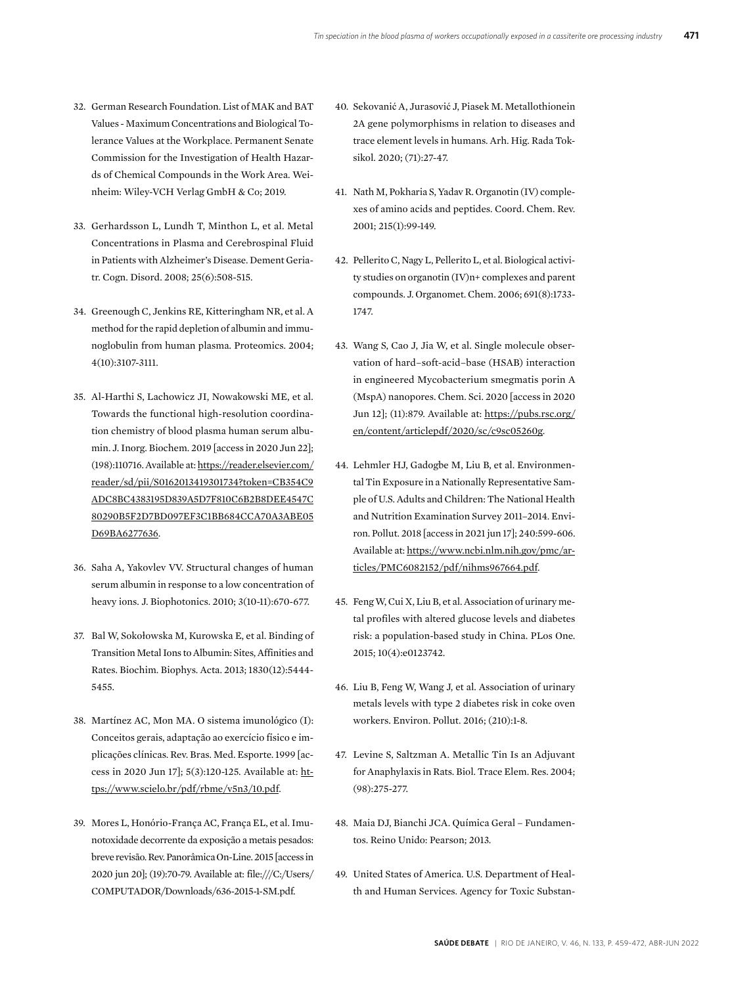- 32. German Research Foundation. List of MAK and BAT Values - Maximum Concentrations and Biological Tolerance Values at the Workplace. Permanent Senate Commission for the Investigation of Health Hazards of Chemical Compounds in the Work Area. Weinheim: Wiley-VCH Verlag GmbH & Co; 2019.
- 33. Gerhardsson L, Lundh T, Minthon L, et al. Metal Concentrations in Plasma and Cerebrospinal Fluid in Patients with Alzheimer's Disease. Dement Geriatr. Cogn. Disord. 2008; 25(6):508-515.
- 34. Greenough C, Jenkins RE, Kitteringham NR, et al. A method for the rapid depletion of albumin and immunoglobulin from human plasma. Proteomics. 2004; 4(10):3107-3111.
- 35. Al-Harthi S, Lachowicz JI, Nowakowski ME, et al. Towards the functional high-resolution coordination chemistry of blood plasma human serum albumin. J. Inorg. Biochem. 2019 [access in 2020 Jun 22]; (198):110716. Available at: [https://reader.elsevier.com/](https://reader.elsevier.com/reader/sd/pii/S0162013419301734?token=CB354C9ADC8BC4383195D839A5D7F810C6B2B8DEE4547C80290B5F2D7BD097EF3C1BB684CCA70A3ABE05D69BA6277636) [reader/sd/pii/S0162013419301734?token=CB354C9](https://reader.elsevier.com/reader/sd/pii/S0162013419301734?token=CB354C9ADC8BC4383195D839A5D7F810C6B2B8DEE4547C80290B5F2D7BD097EF3C1BB684CCA70A3ABE05D69BA6277636) [ADC8BC4383195D839A5D7F810C6B2B8DEE4547C](https://reader.elsevier.com/reader/sd/pii/S0162013419301734?token=CB354C9ADC8BC4383195D839A5D7F810C6B2B8DEE4547C80290B5F2D7BD097EF3C1BB684CCA70A3ABE05D69BA6277636) [80290B5F2D7BD097EF3C1BB684CCA70A3ABE05](https://reader.elsevier.com/reader/sd/pii/S0162013419301734?token=CB354C9ADC8BC4383195D839A5D7F810C6B2B8DEE4547C80290B5F2D7BD097EF3C1BB684CCA70A3ABE05D69BA6277636) [D69BA6277636](https://reader.elsevier.com/reader/sd/pii/S0162013419301734?token=CB354C9ADC8BC4383195D839A5D7F810C6B2B8DEE4547C80290B5F2D7BD097EF3C1BB684CCA70A3ABE05D69BA6277636).
- 36. Saha A, Yakovlev VV. Structural changes of human serum albumin in response to a low concentration of heavy ions. J. Biophotonics. 2010; 3(10-11):670-677.
- 37. Bal W, Sokołowska M, Kurowska E, et al. Binding of Transition Metal Ions to Albumin: Sites, Affinities and Rates. Biochim. Biophys. Acta. 2013; 1830(12):5444- 5455.
- 38. Martínez AC, Mon MA. O sistema imunológico (I): Conceitos gerais, adaptação ao exercício físico e implicações clínicas. Rev. Bras. Med. Esporte. 1999 [access in 2020 Jun 17]; 5(3):120-125. Available at: [ht](https://www.scielo.br/pdf/rbme/v5n3/10.pdf)[tps://www.scielo.br/pdf/rbme/v5n3/10.pdf.](https://www.scielo.br/pdf/rbme/v5n3/10.pdf)
- 39. Mores L, Honório-França AC, França EL, et al. Imunotoxidade decorrente da exposição a metais pesados: breve revisão. Rev. Panorâmica On-Line. 2015 [access in 2020 jun 20]; (19):70-79. Available at: file:///C:/Users/ COMPUTADOR/Downloads/636-2015-1-SM.pdf.
- 40. Sekovanić A, Jurasović J, Piasek M. Metallothionein 2A gene polymorphisms in relation to diseases and trace element levels in humans. Arh. Hig. Rada Toksikol. 2020; (71):27-47.
- 41. Nath M, Pokharia S, Yadav R. Organotin (IV) complexes of amino acids and peptides. Coord. Chem. Rev. 2001; 215(1):99-149.
- 42. Pellerito C, Nagy L, Pellerito L, et al. Biological activity studies on organotin (IV)n+ complexes and parent compounds. J. Organomet. Chem. 2006; 691(8):1733- 1747.
- 43. Wang S, Cao J, Jia W, et al. Single molecule observation of hard–soft-acid–base (HSAB) interaction in engineered Mycobacterium smegmatis porin A (MspA) nanopores. Chem. Sci. 2020 [access in 2020 Jun 12]; (11):879. Available at: [https://pubs.rsc.org/](https://pubs.rsc.org/en/content/articlepdf/2020/sc/c9sc05260g) [en/content/articlepdf/2020/sc/c9sc05260g](https://pubs.rsc.org/en/content/articlepdf/2020/sc/c9sc05260g).
- 44. Lehmler HJ, Gadogbe M, Liu B, et al. Environmental Tin Exposure in a Nationally Representative Sample of U.S. Adults and Children: The National Health and Nutrition Examination Survey 2011–2014. Environ. Pollut. 2018 [access in 2021 jun 17]; 240:599-606. Available at: [https://www.ncbi.nlm.nih.gov/pmc/ar](https://www.ncbi.nlm.nih.gov/pmc/articles/PMC6082152/pdf/nihms967664.pdf)[ticles/PMC6082152/pdf/nihms967664.pdf](https://www.ncbi.nlm.nih.gov/pmc/articles/PMC6082152/pdf/nihms967664.pdf).
- 45. Feng W, Cui X, Liu B, et al. Association of urinary metal profiles with altered glucose levels and diabetes risk: a population-based study in China. PLos One. 2015; 10(4):e0123742.
- 46. Liu B, Feng W, Wang J, et al. Association of urinary metals levels with type 2 diabetes risk in coke oven workers. Environ. Pollut. 2016; (210):1-8.
- 47. Levine S, Saltzman A. Metallic Tin Is an Adjuvant for Anaphylaxis in Rats. Biol. Trace Elem. Res. 2004; (98):275-277.
- 48. Maia DJ, Bianchi JCA. Química Geral Fundamentos. Reino Unido: Pearson; 2013.
- 49. United States of America. U.S. Department of Health and Human Services. Agency for Toxic Substan-